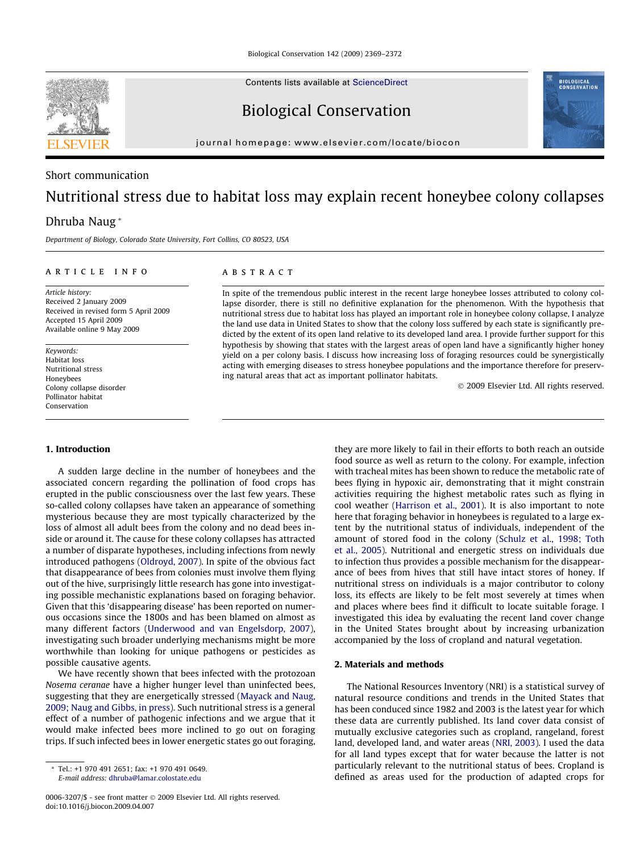Contents lists available at [ScienceDirect](http://www.sciencedirect.com/science/journal/00063207)

Biological Conservation

journal homepage: [www.elsevier.com/locate/biocon](http://www.elsevier.com/locate/biocon)

# Short communication

# Nutritional stress due to habitat loss may explain recent honeybee colony collapses

# Dhruba Naug \*

Department of Biology, Colorado State University, Fort Collins, CO 80523, USA

## article info

Article history: Received 2 January 2009 Received in revised form 5 April 2009 Accepted 15 April 2009 Available online 9 May 2009

Keywords: Habitat loss Nutritional stress Honeybees Colony collapse disorder Pollinator habitat Conservation

## 1. Introduction

A sudden large decline in the number of honeybees and the associated concern regarding the pollination of food crops has erupted in the public consciousness over the last few years. These so-called colony collapses have taken an appearance of something mysterious because they are most typically characterized by the loss of almost all adult bees from the colony and no dead bees inside or around it. The cause for these colony collapses has attracted a number of disparate hypotheses, including infections from newly introduced pathogens ([Oldroyd, 2007\)](#page-3-0). In spite of the obvious fact that disappearance of bees from colonies must involve them flying out of the hive, surprisingly little research has gone into investigating possible mechanistic explanations based on foraging behavior. Given that this 'disappearing disease' has been reported on numerous occasions since the 1800s and has been blamed on almost as many different factors [\(Underwood and van Engelsdorp, 2007\)](#page-3-0), investigating such broader underlying mechanisms might be more worthwhile than looking for unique pathogens or pesticides as possible causative agents.

We have recently shown that bees infected with the protozoan Nosema ceranae have a higher hunger level than uninfected bees, suggesting that they are energetically stressed ([Mayack and Naug,](#page-3-0) [2009; Naug and Gibbs, in press](#page-3-0)). Such nutritional stress is a general effect of a number of pathogenic infections and we argue that it would make infected bees more inclined to go out on foraging trips. If such infected bees in lower energetic states go out foraging,

## ABSTRACT

In spite of the tremendous public interest in the recent large honeybee losses attributed to colony collapse disorder, there is still no definitive explanation for the phenomenon. With the hypothesis that nutritional stress due to habitat loss has played an important role in honeybee colony collapse, I analyze the land use data in United States to show that the colony loss suffered by each state is significantly predicted by the extent of its open land relative to its developed land area. I provide further support for this hypothesis by showing that states with the largest areas of open land have a significantly higher honey yield on a per colony basis. I discuss how increasing loss of foraging resources could be synergistically acting with emerging diseases to stress honeybee populations and the importance therefore for preserving natural areas that act as important pollinator habitats.

- 2009 Elsevier Ltd. All rights reserved.

they are more likely to fail in their efforts to both reach an outside food source as well as return to the colony. For example, infection with tracheal mites has been shown to reduce the metabolic rate of bees flying in hypoxic air, demonstrating that it might constrain activities requiring the highest metabolic rates such as flying in cool weather [\(Harrison et al., 2001\)](#page-3-0). It is also important to note here that foraging behavior in honeybees is regulated to a large extent by the nutritional status of individuals, independent of the amount of stored food in the colony ([Schulz et al., 1998; Toth](#page-3-0) [et al., 2005](#page-3-0)). Nutritional and energetic stress on individuals due to infection thus provides a possible mechanism for the disappearance of bees from hives that still have intact stores of honey. If nutritional stress on individuals is a major contributor to colony loss, its effects are likely to be felt most severely at times when and places where bees find it difficult to locate suitable forage. I investigated this idea by evaluating the recent land cover change in the United States brought about by increasing urbanization accompanied by the loss of cropland and natural vegetation.

## 2. Materials and methods

The National Resources Inventory (NRI) is a statistical survey of natural resource conditions and trends in the United States that has been conduced since 1982 and 2003 is the latest year for which these data are currently published. Its land cover data consist of mutually exclusive categories such as cropland, rangeland, forest land, developed land, and water areas [\(NRI, 2003](#page-3-0)). I used the data for all land types except that for water because the latter is not particularly relevant to the nutritional status of bees. Cropland is defined as areas used for the production of adapted crops for



<sup>\*</sup> Tel.: +1 970 491 2651; fax: +1 970 491 0649. E-mail address: [dhruba@lamar.colostate.edu](mailto:dhruba@lamar.colostate.edu)

<sup>0006-3207/\$ -</sup> see front matter © 2009 Elsevier Ltd. All rights reserved. doi:10.1016/j.biocon.2009.04.007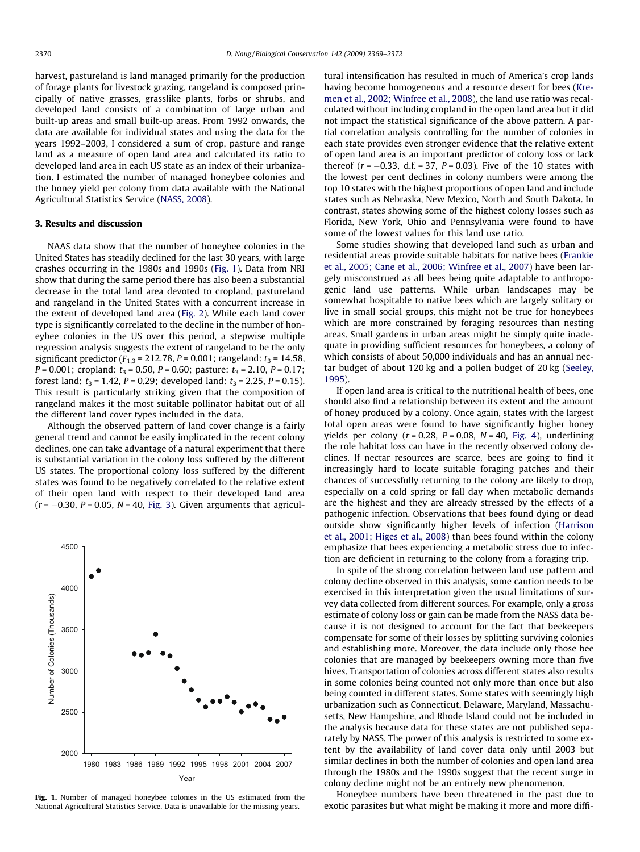harvest, pastureland is land managed primarily for the production of forage plants for livestock grazing, rangeland is composed principally of native grasses, grasslike plants, forbs or shrubs, and developed land consists of a combination of large urban and built-up areas and small built-up areas. From 1992 onwards, the data are available for individual states and using the data for the years 1992–2003, I considered a sum of crop, pasture and range land as a measure of open land area and calculated its ratio to developed land area in each US state as an index of their urbanization. I estimated the number of managed honeybee colonies and the honey yield per colony from data available with the National Agricultural Statistics Service [\(NASS, 2008\)](#page-3-0).

## 3. Results and discussion

NAAS data show that the number of honeybee colonies in the United States has steadily declined for the last 30 years, with large crashes occurring in the 1980s and 1990s (Fig. 1). Data from NRI show that during the same period there has also been a substantial decrease in the total land area devoted to cropland, pastureland and rangeland in the United States with a concurrent increase in the extent of developed land area ([Fig. 2\)](#page-2-0). While each land cover type is significantly correlated to the decline in the number of honeybee colonies in the US over this period, a stepwise multiple regression analysis suggests the extent of rangeland to be the only significant predictor ( $F_{1,3}$  = 212.78, P = 0.001; rangeland:  $t_3$  = 14.58,  $P = 0.001$ ; cropland:  $t_3 = 0.50$ ,  $P = 0.60$ ; pasture:  $t_3 = 2.10$ ,  $P = 0.17$ ; forest land:  $t_3 = 1.42$ ,  $P = 0.29$ ; developed land:  $t_3 = 2.25$ ,  $P = 0.15$ ). This result is particularly striking given that the composition of rangeland makes it the most suitable pollinator habitat out of all the different land cover types included in the data.

Although the observed pattern of land cover change is a fairly general trend and cannot be easily implicated in the recent colony declines, one can take advantage of a natural experiment that there is substantial variation in the colony loss suffered by the different US states. The proportional colony loss suffered by the different states was found to be negatively correlated to the relative extent of their open land with respect to their developed land area  $(r = -0.30, P = 0.05, N = 40,$  [Fig. 3](#page-2-0)). Given arguments that agricul-



Fig. 1. Number of managed honeybee colonies in the US estimated from the National Agricultural Statistics Service. Data is unavailable for the missing years.

tural intensification has resulted in much of America's crop lands having become homogeneous and a resource desert for bees ([Kre](#page-3-0)[men et al., 2002; Winfree et al., 2008\)](#page-3-0), the land use ratio was recalculated without including cropland in the open land area but it did not impact the statistical significance of the above pattern. A partial correlation analysis controlling for the number of colonies in each state provides even stronger evidence that the relative extent of open land area is an important predictor of colony loss or lack thereof  $(r = -0.33, d.f. = 37, P = 0.03)$ . Five of the 10 states with the lowest per cent declines in colony numbers were among the top 10 states with the highest proportions of open land and include states such as Nebraska, New Mexico, North and South Dakota. In contrast, states showing some of the highest colony losses such as Florida, New York, Ohio and Pennsylvania were found to have some of the lowest values for this land use ratio.

Some studies showing that developed land such as urban and residential areas provide suitable habitats for native bees ([Frankie](#page-3-0) [et al., 2005; Cane et al., 2006; Winfree et al., 2007\)](#page-3-0) have been largely misconstrued as all bees being quite adaptable to anthropogenic land use patterns. While urban landscapes may be somewhat hospitable to native bees which are largely solitary or live in small social groups, this might not be true for honeybees which are more constrained by foraging resources than nesting areas. Small gardens in urban areas might be simply quite inadequate in providing sufficient resources for honeybees, a colony of which consists of about 50,000 individuals and has an annual nectar budget of about 120 kg and a pollen budget of 20 kg ([Seeley,](#page-3-0) [1995\)](#page-3-0).

If open land area is critical to the nutritional health of bees, one should also find a relationship between its extent and the amount of honey produced by a colony. Once again, states with the largest total open areas were found to have significantly higher honey yields per colony ( $r = 0.28$ ,  $P = 0.08$ ,  $N = 40$ , [Fig. 4](#page-2-0)), underlining the role habitat loss can have in the recently observed colony declines. If nectar resources are scarce, bees are going to find it increasingly hard to locate suitable foraging patches and their chances of successfully returning to the colony are likely to drop, especially on a cold spring or fall day when metabolic demands are the highest and they are already stressed by the effects of a pathogenic infection. Observations that bees found dying or dead outside show significantly higher levels of infection [\(Harrison](#page-3-0) [et al., 2001; Higes et al., 2008](#page-3-0)) than bees found within the colony emphasize that bees experiencing a metabolic stress due to infection are deficient in returning to the colony from a foraging trip.

In spite of the strong correlation between land use pattern and colony decline observed in this analysis, some caution needs to be exercised in this interpretation given the usual limitations of survey data collected from different sources. For example, only a gross estimate of colony loss or gain can be made from the NASS data because it is not designed to account for the fact that beekeepers compensate for some of their losses by splitting surviving colonies and establishing more. Moreover, the data include only those bee colonies that are managed by beekeepers owning more than five hives. Transportation of colonies across different states also results in some colonies being counted not only more than once but also being counted in different states. Some states with seemingly high urbanization such as Connecticut, Delaware, Maryland, Massachusetts, New Hampshire, and Rhode Island could not be included in the analysis because data for these states are not published separately by NASS. The power of this analysis is restricted to some extent by the availability of land cover data only until 2003 but similar declines in both the number of colonies and open land area through the 1980s and the 1990s suggest that the recent surge in colony decline might not be an entirely new phenomenon.

Honeybee numbers have been threatened in the past due to exotic parasites but what might be making it more and more diffi-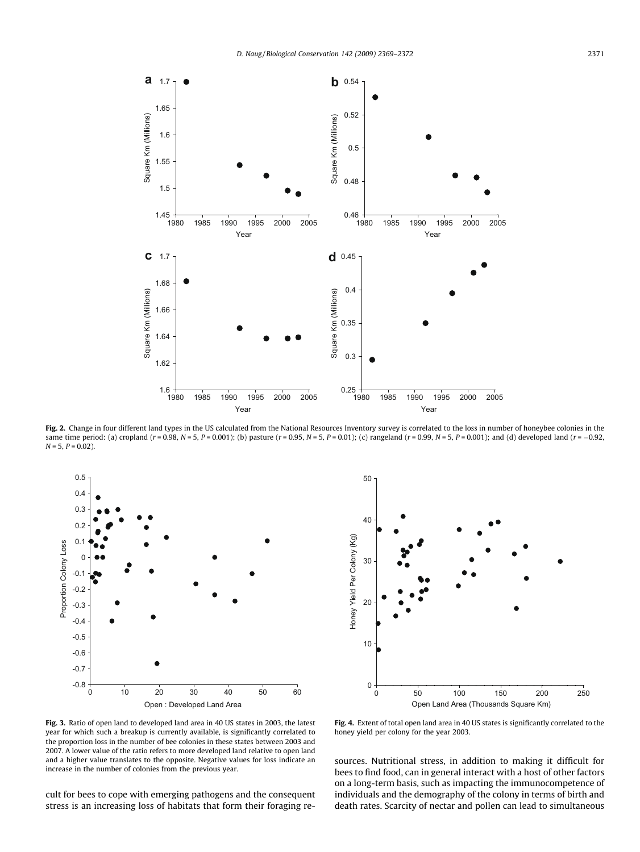<span id="page-2-0"></span>

Fig. 2. Change in four different land types in the US calculated from the National Resources Inventory survey is correlated to the loss in number of honeybee colonies in the same time period: (a) cropland (r = 0.98, N = 5, P = 0.001); (b) pasture (r = 0.95, N = 5, P = 0.01); (c) rangeland (r = 0.99, N = 5, P = 0.001); and (d) developed land (r = -0.92.  $N = 5$ ,  $P = 0.02$ ).





Fig. 3. Ratio of open land to developed land area in 40 US states in 2003, the latest year for which such a breakup is currently available, is significantly correlated to the proportion loss in the number of bee colonies in these states between 2003 and 2007. A lower value of the ratio refers to more developed land relative to open land and a higher value translates to the opposite. Negative values for loss indicate an increase in the number of colonies from the previous year.

cult for bees to cope with emerging pathogens and the consequent stress is an increasing loss of habitats that form their foraging re-

Fig. 4. Extent of total open land area in 40 US states is significantly correlated to the honey yield per colony for the year 2003.

sources. Nutritional stress, in addition to making it difficult for bees to find food, can in general interact with a host of other factors on a long-term basis, such as impacting the immunocompetence of individuals and the demography of the colony in terms of birth and death rates. Scarcity of nectar and pollen can lead to simultaneous